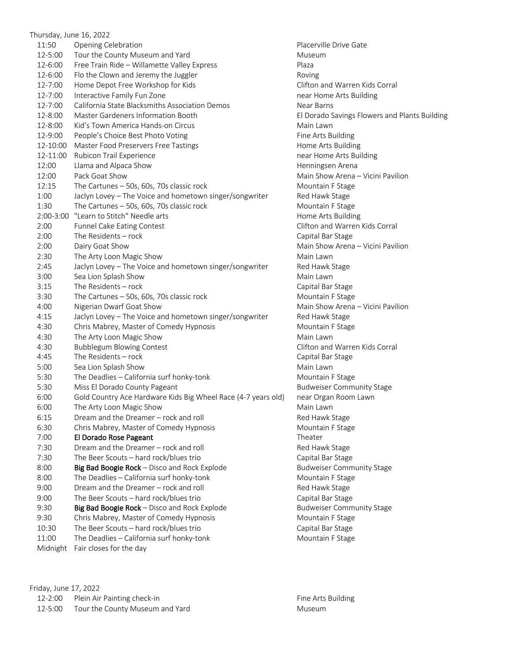|             | Thursday, June 16, 2022                                       |                  |
|-------------|---------------------------------------------------------------|------------------|
| 11:50       | Opening Celebration                                           | Placerville      |
| 12-5:00     | Tour the County Museum and Yard                               | <b>Museum</b>    |
| 12-6:00     | Free Train Ride - Willamette Valley Express                   | Plaza            |
| 12-6:00     | Flo the Clown and Jeremy the Juggler                          | Roving           |
| 12-7:00     | Home Depot Free Workshop for Kids                             | Clifton and      |
| 12-7:00     | Interactive Family Fun Zone                                   | near Home        |
| 12-7:00     | California State Blacksmiths Association Demos                | Near Barns       |
| 12-8:00     | Master Gardeners Information Booth                            | El Dorado 9      |
| 12-8:00     | Kid's Town America Hands-on Circus                            | Main Lawn        |
| 12-9:00     | People's Choice Best Photo Voting                             | Fine Arts B      |
| 12-10:00    | Master Food Preservers Free Tastings                          | Home Arts        |
| 12-11:00    | Rubicon Trail Experience                                      | near Home        |
| 12:00       | Llama and Alpaca Show                                         | Henningser       |
| 12:00       | Pack Goat Show                                                | Main Show        |
| 12:15       | The Cartunes - 50s, 60s, 70s classic rock                     | Mountain I       |
| 1:00        | Jaclyn Lovey - The Voice and hometown singer/songwriter       | Red Hawk:        |
| 1:30        | The Cartunes - 50s, 60s, 70s classic rock                     | Mountain I       |
| $2:00-3:00$ | "Learn to Stitch" Needle arts                                 | Home Arts        |
| 2:00        | Funnel Cake Eating Contest                                    | Clifton and      |
| 2:00        | The Residents - rock                                          | Capital Bar      |
| 2:00        | Dairy Goat Show                                               | Main Show        |
| 2:30        | The Arty Loon Magic Show                                      | Main Lawn        |
| 2:45        | Jaclyn Lovey - The Voice and hometown singer/songwriter       | Red Hawk !       |
| 3:00        | Sea Lion Splash Show                                          | Main Lawn        |
| 3:15        | The Residents - rock                                          | Capital Bar      |
| 3:30        | The Cartunes - 50s, 60s, 70s classic rock                     | Mountain I       |
| 4:00        | Nigerian Dwarf Goat Show                                      | Main Show        |
| 4:15        | Jaclyn Lovey - The Voice and hometown singer/songwriter       | Red Hawk !       |
| 4:30        | Chris Mabrey, Master of Comedy Hypnosis                       | Mountain I       |
| 4:30        | The Arty Loon Magic Show                                      | Main Lawn        |
| 4:30        | <b>Bubblegum Blowing Contest</b>                              | Clifton and      |
| 4:45        | The Residents - rock                                          | Capital Bar      |
| 5:00        | Sea Lion Splash Show                                          | Main Lawn        |
| 5:30        | The Deadlies - California surf honky-tonk                     | Mountain I       |
| 5:30        | Miss El Dorado County Pageant                                 | <b>Budweiser</b> |
| 6:00        | Gold Country Ace Hardware Kids Big Wheel Race (4-7 years old) | near Orgar       |
| 6:00        | The Arty Loon Magic Show                                      | Main Lawn        |
| 6:15        | Dream and the Dreamer - rock and roll                         | Red Hawk !       |
| 6:30        | Chris Mabrey, Master of Comedy Hypnosis                       | Mountain I       |
| 7:00        | El Dorado Rose Pageant                                        | Theater          |
| 7:30        | Dream and the Dreamer - rock and roll                         | Red Hawk :       |
| 7:30        | The Beer Scouts - hard rock/blues trio                        | Capital Bar      |
| 8:00        | Big Bad Boogie Rock - Disco and Rock Explode                  | Budweiser        |
| 8:00        | The Deadlies - California surf honky-tonk                     | Mountain I       |
| 9:00        | Dream and the Dreamer - rock and roll                         | Red Hawk !       |
| 9:00        | The Beer Scouts - hard rock/blues trio                        | Capital Bar      |
| 9:30        | Big Bad Boogie Rock - Disco and Rock Explode                  | Budweiser        |
| 9:30        | Chris Mabrey, Master of Comedy Hypnosis                       | Mountain I       |
| 10:30       | The Beer Scouts - hard rock/blues trio                        | Capital Bar      |
| 11:00       | The Deadlies - California surf honky-tonk                     | Mountain I       |
| Midnight    | Fair closes for the day                                       |                  |
|             |                                                               |                  |

Placerville Drive Gate Clifton and Warren Kids Corral near Home Arts Building Near Barns El Dorado Savings Flowers and Plants Building Main Lawn Fine Arts Building Home Arts Building near Home Arts Building Henningsen Arena Main Show Arena – Vicini Pavilion Mountain F Stage Red Hawk Stage Mountain F Stage Home Arts Building Clifton and Warren Kids Corral Capital Bar Stage Main Show Arena – Vicini Pavilion Red Hawk Stage Main Lawn Capital Bar Stage Mountain F Stage Main Show Arena – Vicini Pavilion Red Hawk Stage Mountain F Stage Main Lawn Clifton and Warren Kids Corral Capital Bar Stage Main Lawn Mountain F Stage Budweiser Community Stage ) near Organ Room Lawn Main Lawn Red Hawk Stage Mountain F Stage Red Hawk Stage Capital Bar Stage Budweiser Community Stage Mountain F Stage Red Hawk Stage Capital Bar Stage Budweiser Community Stage Mountain F Stage Capital Bar Stage Mountain F Stage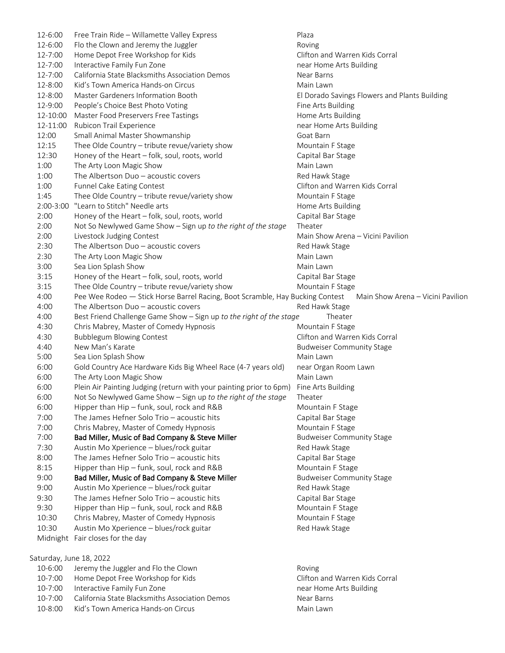12-6:00 Free Train Ride – Willamette Valley Express Plaza 12-6:00 Flo the Clown and Jeremy the Juggler Theorem Roving 12-7:00 Home Depot Free Workshop for Kids Clifton and Warren Kids Corral 12-7:00 Interactive Family Fun Zone near Home Arts Building 12-7:00 California State Blacksmiths Association Demos Near Barns 12-8:00 Kid's Town America Hands-on Circus Main Lawn 12-8:00 Master Gardeners Information Booth El Dorado Savings Flowers and Plants Building 12-9:00 People's Choice Best Photo Voting Fine Arts Building Fine Arts Building 12-10:00 Master Food Preservers Free Tastings Home Arts Building Home Arts Building 12-11:00 Rubicon Trail Experience near Home Arts Building 12:00 Small Animal Master Showmanship Goat Barn Goat Barn 12:15 Thee Olde Country – tribute revue/variety show Mountain F Stage 12:30 Honey of the Heart – folk, soul, roots, world Capital Bar Stage 1:00 The Arty Loon Magic Show Main Lawn 1:00 The Albertson Duo – acoustic covers The Red Hawk Stage 1:00 Funnel Cake Eating Contest Clifton and Warren Kids Corral 1:45 Thee Olde Country – tribute revue/variety show Mountain F Stage 2:00-3:00 "Learn to Stitch" Needle arts Home Arts Building 2:00 Honey of the Heart – folk, soul, roots, world Capital Bar Stage 2:00 Not So Newlywed Game Show – Sign up *to the right of the stage* Theater 2:00 Livestock Judging Contest **Main Show Arena – Vicini Pavilion** Arena – Vicini Pavilion 2:30 The Albertson Duo – acoustic covers The Red Hawk Stage 2:30 The Arty Loon Magic Show Main Lawn 3:00 Sea Lion Splash Show Main Lawn 3:15 Honey of the Heart – folk, soul, roots, world Capital Bar Stage 3:15 Thee Olde Country – tribute revue/variety show Mountain F Stage 4:00 Pee Wee Rodeo — Stick Horse Barrel Racing, Boot Scramble, Hay Bucking Contest Main Show Arena – Vicini Pavilion 4:00 The Albertson Duo – acoustic covers The Red Hawk Stage 4:00 Best Friend Challenge Game Show – Sign up *to the right of the stage* Theater 4:30 Chris Mabrey, Master of Comedy Hypnosis Mountain F Stage 4:30 Bubblegum Blowing Contest Clifton and Warren Kids Corral 4:40 New Man's Karate **Budweiser Community Stage** 5:00 Sea Lion Splash Show Main Lawn 6:00 Gold Country Ace Hardware Kids Big Wheel Race (4-7 years old) near Organ Room Lawn 6:00 The Arty Loon Magic Show Main Lawn 6:00 Plein Air Painting Judging (return with your painting prior to 6pm) Fine Arts Building 6:00 Not So Newlywed Game Show – Sign up *to the right of the stage* Theater 6:00 Hipper than Hip – funk, soul, rock and R&B Mountain F Stage 7:00 The James Hefner Solo Trio – acoustic hits Capital Bar Stage 7:00 Chris Mabrey, Master of Comedy Hypnosis Mountain F Stage 7:00 Bad Miller, Music of Bad Company & Steve Miller Budweiser Community Stage 7:30 Austin Mo Xperience – blues/rock guitar Red Hawk Stage Red Hawk Stage 8:00 The James Hefner Solo Trio – acoustic hits Capital Bar Stage 8:15 Hipper than Hip – funk, soul, rock and R&B Mountain F Stage 9:00 Bad Miller, Music of Bad Company & Steve Miller Budweiser Community Stage 9:00 Austin Mo Xperience – blues/rock guitar Red Hawk Stage Red Hawk Stage 9:30 The James Hefner Solo Trio – acoustic hits Capital Bar Stage 9:30 Hipper than Hip – funk, soul, rock and R&B Mountain F Stage 10:30 Chris Mabrey, Master of Comedy Hypnosis Mountain F Stage 10:30 Austin Mo Xperience – blues/rock guitar Red Hawk Stage Red Hawk Stage Midnight Fair closes for the day Saturday, June 18, 2022 10-6:00 Jeremy the Juggler and Flo the Clown **Example 2018** Roving

10-7:00 Home Depot Free Workshop for Kids Clifton and Warren Kids Corral 10-7:00 Interactive Family Fun Zone near Home Arts Building 10-7:00 California State Blacksmiths Association Demos Near Barns 10-8:00 Kid's Town America Hands-on Circus Main Lawn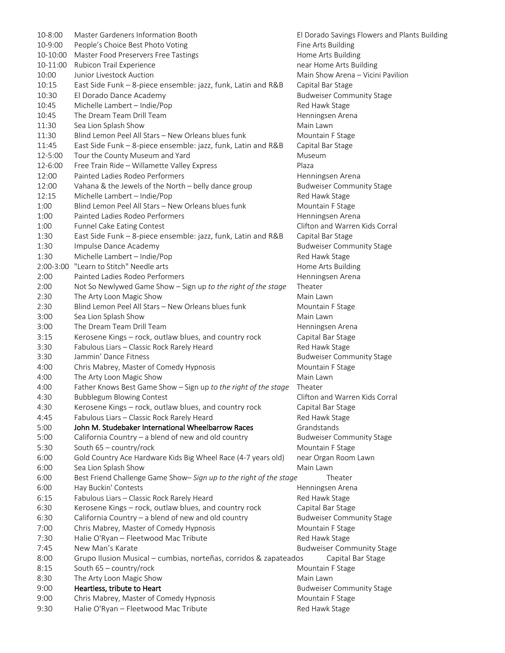| 10-8:00   | Master Gardeners Information Booth                                 | El Dorado Savings Flowers and Plants Building |  |  |
|-----------|--------------------------------------------------------------------|-----------------------------------------------|--|--|
| 10-9:00   | People's Choice Best Photo Voting                                  | Fine Arts Building                            |  |  |
| 10-10:00  | Master Food Preservers Free Tastings                               | Home Arts Building                            |  |  |
| 10-11:00  | Rubicon Trail Experience                                           | near Home Arts Building                       |  |  |
| 10:00     | Junior Livestock Auction                                           | Main Show Arena - Vicini Pavilion             |  |  |
| 10:15     | East Side Funk - 8-piece ensemble: jazz, funk, Latin and R&B       | Capital Bar Stage                             |  |  |
| 10:30     | El Dorado Dance Academy                                            | <b>Budweiser Community Stage</b>              |  |  |
| 10:45     | Michelle Lambert - Indie/Pop                                       | Red Hawk Stage                                |  |  |
| 10:45     | The Dream Team Drill Team                                          | Henningsen Arena                              |  |  |
| 11:30     | Sea Lion Splash Show                                               | Main Lawn                                     |  |  |
| 11:30     | Blind Lemon Peel All Stars - New Orleans blues funk                | Mountain F Stage                              |  |  |
| 11:45     | East Side Funk - 8-piece ensemble: jazz, funk, Latin and R&B       | Capital Bar Stage                             |  |  |
| 12-5:00   | Tour the County Museum and Yard                                    | Museum                                        |  |  |
| 12-6:00   | Free Train Ride - Willamette Valley Express                        | Plaza                                         |  |  |
| 12:00     | Painted Ladies Rodeo Performers                                    | Henningsen Arena                              |  |  |
| 12:00     | Vahana & the Jewels of the North - belly dance group               | <b>Budweiser Community Stage</b>              |  |  |
| 12:15     | Michelle Lambert - Indie/Pop                                       | Red Hawk Stage                                |  |  |
| 1:00      | Blind Lemon Peel All Stars - New Orleans blues funk                | Mountain F Stage                              |  |  |
| 1:00      | Painted Ladies Rodeo Performers                                    | Henningsen Arena                              |  |  |
| 1:00      | Funnel Cake Eating Contest                                         | Clifton and Warren Kids Corral                |  |  |
| 1:30      | East Side Funk - 8-piece ensemble: jazz, funk, Latin and R&B       | Capital Bar Stage                             |  |  |
| 1:30      | Impulse Dance Academy                                              | <b>Budweiser Community Stage</b>              |  |  |
| 1:30      | Michelle Lambert - Indie/Pop                                       | Red Hawk Stage                                |  |  |
| 2:00-3:00 | "Learn to Stitch" Needle arts                                      | Home Arts Building                            |  |  |
| 2:00      | Painted Ladies Rodeo Performers                                    | Henningsen Arena                              |  |  |
|           |                                                                    | Theater                                       |  |  |
| 2:00      | Not So Newlywed Game Show - Sign up to the right of the stage      |                                               |  |  |
| 2:30      | The Arty Loon Magic Show                                           | Main Lawn                                     |  |  |
| 2:30      | Blind Lemon Peel All Stars - New Orleans blues funk                | Mountain F Stage                              |  |  |
| 3:00      | Sea Lion Splash Show                                               | Main Lawn                                     |  |  |
| 3:00      | The Dream Team Drill Team                                          | Henningsen Arena                              |  |  |
| 3:15      | Kerosene Kings - rock, outlaw blues, and country rock              | Capital Bar Stage                             |  |  |
| 3:30      | Fabulous Liars - Classic Rock Rarely Heard                         | Red Hawk Stage                                |  |  |
| 3:30      | Jammin' Dance Fitness                                              | <b>Budweiser Community Stage</b>              |  |  |
| 4:00      | Chris Mabrey, Master of Comedy Hypnosis                            | Mountain F Stage                              |  |  |
| 4:00      | The Arty Loon Magic Show                                           | Main Lawn                                     |  |  |
| 4:00      | Father Knows Best Game Show - Sign up to the right of the stage    | Theater                                       |  |  |
| 4:30      | <b>Bubblegum Blowing Contest</b>                                   | Clifton and Warren Kids Corral                |  |  |
| 4:30      | Kerosene Kings - rock, outlaw blues, and country rock              | Capital Bar Stage                             |  |  |
| 4:45      | Fabulous Liars - Classic Rock Rarely Heard                         | Red Hawk Stage                                |  |  |
| 5:00      | John M. Studebaker International Wheelbarrow Races                 | Grandstands                                   |  |  |
| 5:00      | California Country - a blend of new and old country                | <b>Budweiser Community Stage</b>              |  |  |
| 5:30      | South 65 - country/rock                                            | Mountain F Stage                              |  |  |
| 6:00      | Gold Country Ace Hardware Kids Big Wheel Race (4-7 years old)      | near Organ Room Lawn                          |  |  |
| 6:00      | Sea Lion Splash Show                                               | Main Lawn                                     |  |  |
| 6:00      | Best Friend Challenge Game Show- Sign up to the right of the stage | Theater                                       |  |  |
| 6:00      | Hay Buckin' Contests                                               | Henningsen Arena                              |  |  |
| 6:15      | Fabulous Liars - Classic Rock Rarely Heard                         | Red Hawk Stage                                |  |  |
| 6:30      | Kerosene Kings - rock, outlaw blues, and country rock              | Capital Bar Stage                             |  |  |
| 6:30      | California Country - a blend of new and old country                | <b>Budweiser Community Stage</b>              |  |  |
| 7:00      | Chris Mabrey, Master of Comedy Hypnosis                            | Mountain F Stage                              |  |  |
| 7:30      | Halie O'Ryan - Fleetwood Mac Tribute                               | Red Hawk Stage                                |  |  |
| 7:45      | New Man's Karate                                                   | <b>Budweiser Community Stage</b>              |  |  |
| 8:00      | Grupo Ilusion Musical - cumbias, norteñas, corridos & zapateados   | Capital Bar Stage                             |  |  |
| 8:15      | South 65 - country/rock<br>Mountain F Stage                        |                                               |  |  |
|           |                                                                    | Main Lawn                                     |  |  |
| 8:30      | The Arty Loon Magic Show                                           |                                               |  |  |
| 9:00      | Heartless, tribute to Heart                                        | <b>Budweiser Community Stage</b>              |  |  |
| 9:00      | Chris Mabrey, Master of Comedy Hypnosis                            | Mountain F Stage                              |  |  |
| 9:30      | Halie O'Ryan - Fleetwood Mac Tribute                               | Red Hawk Stage                                |  |  |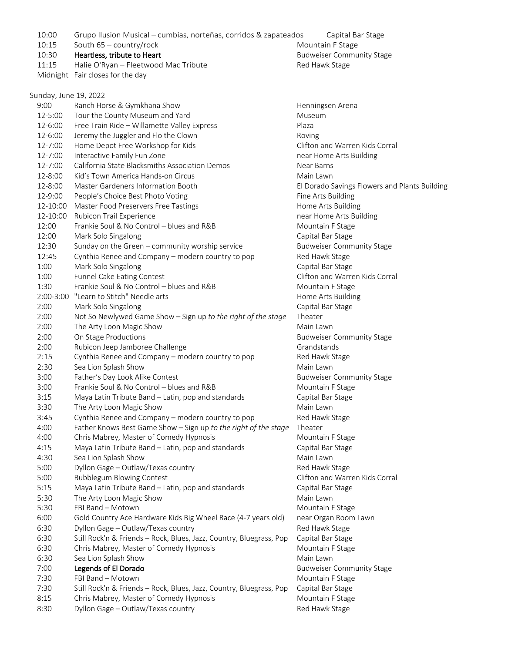10:00 Grupo Ilusion Musical – cumbias, norteñas, corridos & zapateados Capital Bar Stage 10:15 South 65 – country/rock Mountain F Stage 10:30 **Heartless, tribute to Heart Budweiser Community Stage** 11:15 Halie O'Ryan – Fleetwood Mac Tribute **Red Hawk Stage** Red Hawk Stage Midnight Fair closes for the day Sunday, June 19, 2022 9:00 Ranch Horse & Gymkhana Show **Henningsen Arena** 12-5:00 Tour the County Museum and Yard Museum Museum 12-6:00 Free Train Ride – Willamette Valley Express Plaza 12-6:00 Jeremy the Juggler and Flo the Clown 12-7:00 Home Depot Free Workshop for Kids Clifton and Warren Kids Corral 12-7:00 Interactive Family Fun Zone near Home Arts Building 12-7:00 California State Blacksmiths Association Demos Near Barns 12-8:00 Kid's Town America Hands-on Circus Main Lawn 12-8:00 Master Gardeners Information Booth El Dorado Savings Flowers and Plants Building 12-9:00 People's Choice Best Photo Voting Fine Arts Building 12-10:00 Master Food Preservers Free Tastings Home Arts Building 12-10:00 Rubicon Trail Experience **near Home Arts Building** near Home Arts Building 12:00 Frankie Soul & No Control – blues and R&B Mountain F Stage 12:00 Mark Solo Singalong Capital Bar Stage Capital Bar Stage 12:30 Sunday on the Green – community worship service Budweiser Community Stage 12:45 Cynthia Renee and Company – modern country to pop Red Hawk Stage 1:00 Mark Solo Singalong Capital Bar Stage Capital Bar Stage 1:00 Funnel Cake Eating Contest Clifton and Warren Kids Corral 1:30 Frankie Soul & No Control – blues and R&B Mountain F Stage 2:00-3:00 "Learn to Stitch" Needle arts Home Arts Building 2:00 Mark Solo Singalong Capital Bar Stage Capital Bar Stage 2:00 Not So Newlywed Game Show – Sign up *to the right of the stage* Theater 2:00 The Arty Loon Magic Show Main Lawn 2:00 On Stage Productions **Budweiser Community Stage** 2:00 Rubicon Jeep Jamboree Challenge Grandstands Grandstands 2:15 Cynthia Renee and Company – modern country to pop Red Hawk Stage 2:30 Sea Lion Splash Show Main Lawn 3:00 Father's Day Look Alike Contest Budweiser Community Stage 3:00 Frankie Soul & No Control – blues and R&B Mountain F Stage 3:15 Maya Latin Tribute Band – Latin, pop and standards Capital Bar Stage 3:30 The Arty Loon Magic Show Main Lawn 3:45 Cynthia Renee and Company – modern country to pop Red Hawk Stage 4:00 Father Knows Best Game Show – Sign up *to the right of the stage* Theater 4:00 Chris Mabrey, Master of Comedy Hypnosis Mountain F Stage 4:15 Maya Latin Tribute Band – Latin, pop and standards Capital Bar Stage 4:30 Sea Lion Splash Show Main Lawn 5:00 Dyllon Gage – Outlaw/Texas country The Manus Communication Red Hawk Stage 5:00 Bubblegum Blowing Contest Clifton and Warren Kids Corral 5:15 Maya Latin Tribute Band – Latin, pop and standards Capital Bar Stage 5:30 The Arty Loon Magic Show Mannesotal Communist Communist Communist Communist Communist Communist Communist Communist Communist Communist Communist Communist Communist Communist Communist Communist Communist Communist C 5:30 FBI Band – Motown Mountain F Stage 6:00 Gold Country Ace Hardware Kids Big Wheel Race (4-7 years old) near Organ Room Lawn 6:30 Dyllon Gage – Outlaw/Texas country The Manus Country Red Hawk Stage 6:30 Still Rock'n & Friends – Rock, Blues, Jazz, Country, Bluegrass, Pop Capital Bar Stage 6:30 Chris Mabrey, Master of Comedy Hypnosis Mountain F Stage 6:30 Sea Lion Splash Show Main Lawn 7:00 Legends of El Dorado **Budweiser Community Stage** 7:30 FBI Band – Motown Mountain F Stage Mountain F Stage 7:30 Still Rock'n & Friends – Rock, Blues, Jazz, Country, Bluegrass, Pop Capital Bar Stage 8:15 Chris Mabrey, Master of Comedy Hypnosis Mountain F Stage

8:30 Dyllon Gage – Outlaw/Texas country entity and the Red Hawk Stage